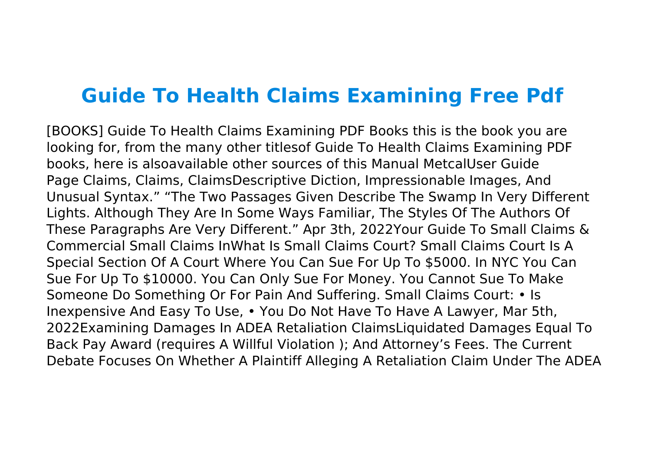## **Guide To Health Claims Examining Free Pdf**

[BOOKS] Guide To Health Claims Examining PDF Books this is the book you are looking for, from the many other titlesof Guide To Health Claims Examining PDF books, here is alsoavailable other sources of this Manual MetcalUser Guide Page Claims, Claims, ClaimsDescriptive Diction, Impressionable Images, And Unusual Syntax." "The Two Passages Given Describe The Swamp In Very Different Lights. Although They Are In Some Ways Familiar, The Styles Of The Authors Of These Paragraphs Are Very Different." Apr 3th, 2022Your Guide To Small Claims & Commercial Small Claims InWhat Is Small Claims Court? Small Claims Court Is A Special Section Of A Court Where You Can Sue For Up To \$5000. In NYC You Can Sue For Up To \$10000. You Can Only Sue For Money. You Cannot Sue To Make Someone Do Something Or For Pain And Suffering. Small Claims Court: • Is Inexpensive And Easy To Use, • You Do Not Have To Have A Lawyer, Mar 5th, 2022Examining Damages In ADEA Retaliation ClaimsLiquidated Damages Equal To Back Pay Award (requires A Willful Violation ); And Attorney's Fees. The Current Debate Focuses On Whether A Plaintiff Alleging A Retaliation Claim Under The ADEA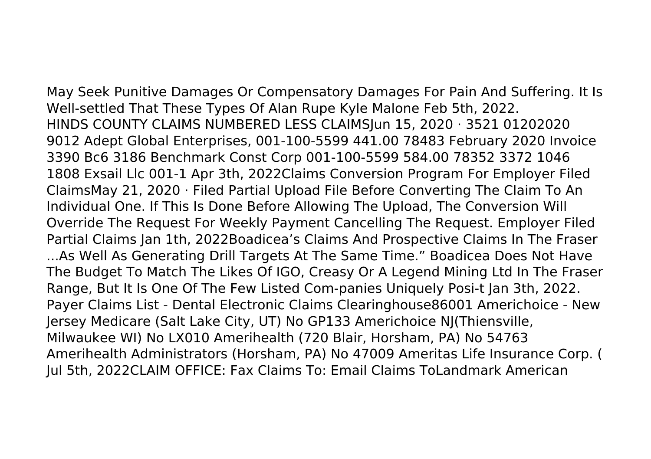May Seek Punitive Damages Or Compensatory Damages For Pain And Suffering. It Is Well-settled That These Types Of Alan Rupe Kyle Malone Feb 5th, 2022. HINDS COUNTY CLAIMS NUMBERED LESS CLAIMSJun 15, 2020 · 3521 01202020 9012 Adept Global Enterprises, 001-100-5599 441.00 78483 February 2020 Invoice 3390 Bc6 3186 Benchmark Const Corp 001-100-5599 584.00 78352 3372 1046 1808 Exsail Llc 001-1 Apr 3th, 2022Claims Conversion Program For Employer Filed ClaimsMay 21, 2020 · Filed Partial Upload File Before Converting The Claim To An Individual One. If This Is Done Before Allowing The Upload, The Conversion Will Override The Request For Weekly Payment Cancelling The Request. Employer Filed Partial Claims Jan 1th, 2022Boadicea's Claims And Prospective Claims In The Fraser ...As Well As Generating Drill Targets At The Same Time." Boadicea Does Not Have The Budget To Match The Likes Of IGO, Creasy Or A Legend Mining Ltd In The Fraser Range, But It Is One Of The Few Listed Com-panies Uniquely Posi-t Jan 3th, 2022. Payer Claims List - Dental Electronic Claims Clearinghouse86001 Americhoice - New Jersey Medicare (Salt Lake City, UT) No GP133 Americhoice NJ(Thiensville, Milwaukee WI) No LX010 Amerihealth (720 Blair, Horsham, PA) No 54763 Amerihealth Administrators (Horsham, PA) No 47009 Ameritas Life Insurance Corp. ( Jul 5th, 2022CLAIM OFFICE: Fax Claims To: Email Claims ToLandmark American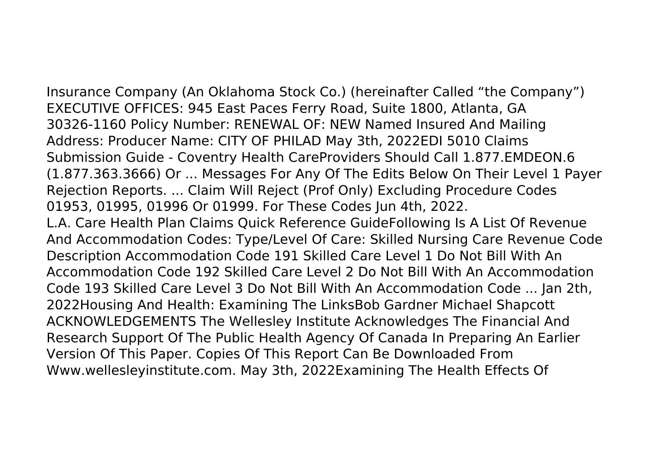Insurance Company (An Oklahoma Stock Co.) (hereinafter Called "the Company") EXECUTIVE OFFICES: 945 East Paces Ferry Road, Suite 1800, Atlanta, GA 30326-1160 Policy Number: RENEWAL OF: NEW Named Insured And Mailing Address: Producer Name: CITY OF PHILAD May 3th, 2022EDI 5010 Claims Submission Guide - Coventry Health CareProviders Should Call 1.877.EMDEON.6 (1.877.363.3666) Or ... Messages For Any Of The Edits Below On Their Level 1 Payer Rejection Reports. ... Claim Will Reject (Prof Only) Excluding Procedure Codes 01953, 01995, 01996 Or 01999. For These Codes Jun 4th, 2022. L.A. Care Health Plan Claims Quick Reference GuideFollowing Is A List Of Revenue And Accommodation Codes: Type/Level Of Care: Skilled Nursing Care Revenue Code Description Accommodation Code 191 Skilled Care Level 1 Do Not Bill With An Accommodation Code 192 Skilled Care Level 2 Do Not Bill With An Accommodation Code 193 Skilled Care Level 3 Do Not Bill With An Accommodation Code ... Jan 2th, 2022Housing And Health: Examining The LinksBob Gardner Michael Shapcott ACKNOWLEDGEMENTS The Wellesley Institute Acknowledges The Financial And Research Support Of The Public Health Agency Of Canada In Preparing An Earlier Version Of This Paper. Copies Of This Report Can Be Downloaded From Www.wellesleyinstitute.com. May 3th, 2022Examining The Health Effects Of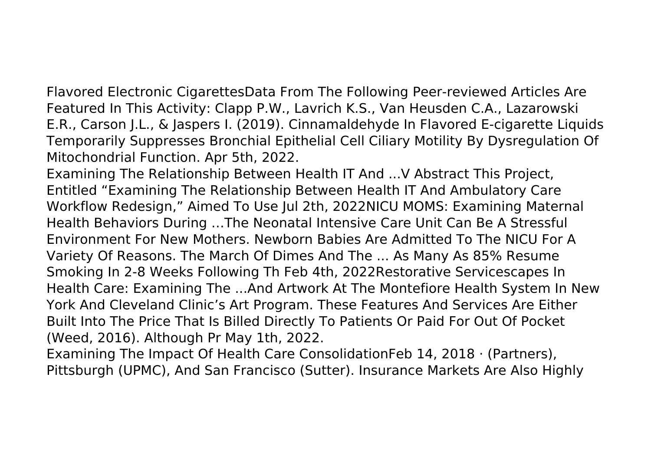Flavored Electronic CigarettesData From The Following Peer-reviewed Articles Are Featured In This Activity: Clapp P.W., Lavrich K.S., Van Heusden C.A., Lazarowski E.R., Carson J.L., & Jaspers I. (2019). Cinnamaldehyde In Flavored E-cigarette Liquids Temporarily Suppresses Bronchial Epithelial Cell Ciliary Motility By Dysregulation Of Mitochondrial Function. Apr 5th, 2022.

Examining The Relationship Between Health IT And ...V Abstract This Project, Entitled "Examining The Relationship Between Health IT And Ambulatory Care Workflow Redesign," Aimed To Use Jul 2th, 2022NICU MOMS: Examining Maternal Health Behaviors During …The Neonatal Intensive Care Unit Can Be A Stressful Environment For New Mothers. Newborn Babies Are Admitted To The NICU For A Variety Of Reasons. The March Of Dimes And The ... As Many As 85% Resume Smoking In 2-8 Weeks Following Th Feb 4th, 2022Restorative Servicescapes In Health Care: Examining The ...And Artwork At The Montefiore Health System In New York And Cleveland Clinic's Art Program. These Features And Services Are Either Built Into The Price That Is Billed Directly To Patients Or Paid For Out Of Pocket (Weed, 2016). Although Pr May 1th, 2022.

Examining The Impact Of Health Care ConsolidationFeb 14, 2018 · (Partners), Pittsburgh (UPMC), And San Francisco (Sutter). Insurance Markets Are Also Highly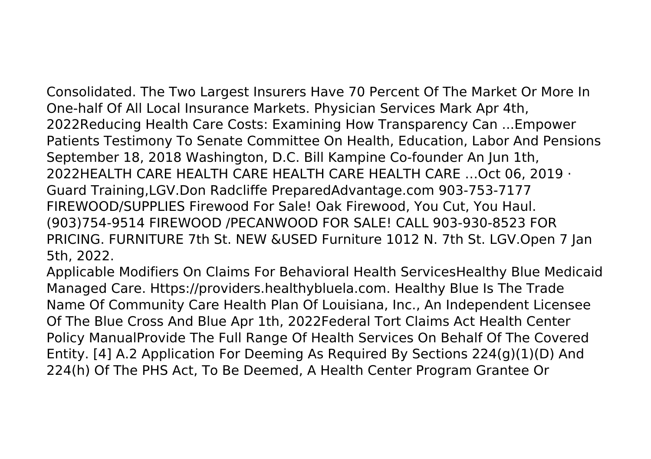Consolidated. The Two Largest Insurers Have 70 Percent Of The Market Or More In One-half Of All Local Insurance Markets. Physician Services Mark Apr 4th, 2022Reducing Health Care Costs: Examining How Transparency Can ...Empower Patients Testimony To Senate Committee On Health, Education, Labor And Pensions September 18, 2018 Washington, D.C. Bill Kampine Co-founder An Jun 1th, 2022HEALTH CARE HEALTH CARE HEALTH CARE HEALTH CARE …Oct 06, 2019 · Guard Training,LGV.Don Radcliffe PreparedAdvantage.com 903-753-7177 FIREWOOD/SUPPLIES Firewood For Sale! Oak Firewood, You Cut, You Haul. (903)754-9514 FIREWOOD /PECANWOOD FOR SALE! CALL 903-930-8523 FOR PRICING. FURNITURE 7th St. NEW &USED Furniture 1012 N. 7th St. LGV.Open 7 Jan 5th, 2022.

Applicable Modifiers On Claims For Behavioral Health ServicesHealthy Blue Medicaid Managed Care. Https://providers.healthybluela.com. Healthy Blue Is The Trade Name Of Community Care Health Plan Of Louisiana, Inc., An Independent Licensee Of The Blue Cross And Blue Apr 1th, 2022Federal Tort Claims Act Health Center Policy ManualProvide The Full Range Of Health Services On Behalf Of The Covered Entity. [4] A.2 Application For Deeming As Required By Sections 224(g)(1)(D) And 224(h) Of The PHS Act, To Be Deemed, A Health Center Program Grantee Or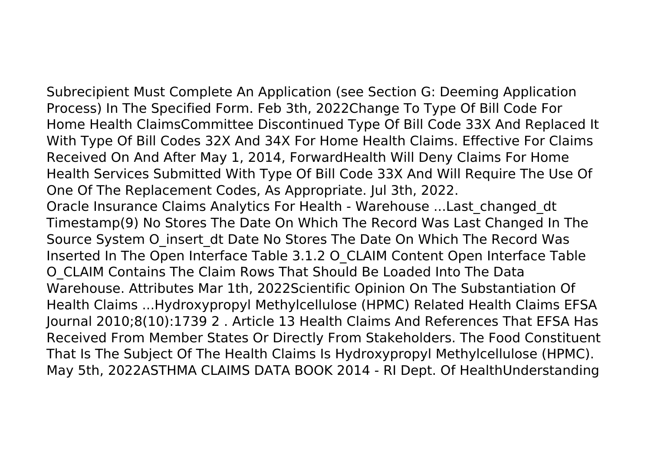Subrecipient Must Complete An Application (see Section G: Deeming Application Process) In The Specified Form. Feb 3th, 2022Change To Type Of Bill Code For Home Health ClaimsCommittee Discontinued Type Of Bill Code 33X And Replaced It With Type Of Bill Codes 32X And 34X For Home Health Claims. Effective For Claims Received On And After May 1, 2014, ForwardHealth Will Deny Claims For Home Health Services Submitted With Type Of Bill Code 33X And Will Require The Use Of One Of The Replacement Codes, As Appropriate. Jul 3th, 2022. Oracle Insurance Claims Analytics For Health - Warehouse ...Last\_changed\_dt Timestamp(9) No Stores The Date On Which The Record Was Last Changed In The Source System O\_insert\_dt Date No Stores The Date On Which The Record Was Inserted In The Open Interface Table 3.1.2 O\_CLAIM Content Open Interface Table O\_CLAIM Contains The Claim Rows That Should Be Loaded Into The Data Warehouse. Attributes Mar 1th, 2022Scientific Opinion On The Substantiation Of Health Claims ...Hydroxypropyl Methylcellulose (HPMC) Related Health Claims EFSA Journal 2010;8(10):1739 2 . Article 13 Health Claims And References That EFSA Has Received From Member States Or Directly From Stakeholders. The Food Constituent That Is The Subject Of The Health Claims Is Hydroxypropyl Methylcellulose (HPMC). May 5th, 2022ASTHMA CLAIMS DATA BOOK 2014 - RI Dept. Of HealthUnderstanding